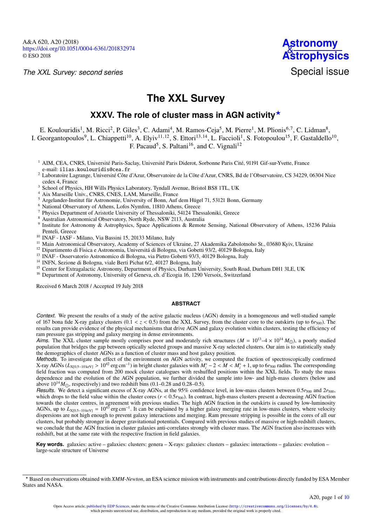*The XXL Survey: second series*



# **The XXL Survey**

## XXXV. The role of cluster mass in AGN activity<sup>\*</sup>

E. Koulouridis<sup>[1](#page-0-0)</sup>, M. Ricci<sup>[2](#page-0-1)</sup>, P. Giles<sup>[3](#page-0-2)</sup>, C. Adami<sup>[4](#page-0-3)</sup>, M. Ramos-Ceja<sup>[5](#page-0-4)</sup>, M. Pierre<sup>1</sup>, M. Plionis<sup>[6,](#page-0-5)[7](#page-0-6)</sup>, C. Lidman<sup>[8](#page-0-7)</sup>,

I. Georgantopoulos<sup>[9](#page-0-8)</sup>, L. Chiappetti<sup>[10](#page-0-9)</sup>, A. Elyiv<sup>[11](#page-0-10)[,12](#page-0-11)</sup>, S. Ettori<sup>[13](#page-0-12)[,14](#page-0-13)</sup>, L. Faccioli<sup>[1](#page-0-0)</sup>, S. Fotopoulou<sup>[15](#page-0-14)</sup>, F. Gastaldello<sup>10</sup>,

F. Pacaud<sup>[5](#page-0-4)</sup>, S. Paltani<sup>[16](#page-0-15)</sup>, and C. Vignali<sup>[12](#page-0-11)</sup>

- <span id="page-0-0"></span><sup>1</sup> AIM, CEA, CNRS, Université Paris-Saclay, Université Paris Diderot, Sorbonne Paris Cité, 91191 Gif-sur-Yvette, France e-mail: [ilias.koulouridis@cea.fr](mailto:ilias.koulouridis@cea.fr)
- <span id="page-0-1"></span><sup>2</sup> Laboratoire Lagrange, Université Côte d'Azur, Observatoire de la Côte d'Azur, CNRS, Bd de l'Observatoire, CS 34229, 06304 Nice cedex 4, France
- <span id="page-0-2"></span><sup>3</sup> School of Physics, HH Wills Physics Laboratory, Tyndall Avenue, Bristol BS8 1TL, UK
- <span id="page-0-3"></span><sup>4</sup> Aix Marseille Univ., CNRS, CNES, LAM, Marseille, France
- <span id="page-0-4"></span><sup>5</sup> Argelander-Institut für Astronomie, University of Bonn, Auf dem Hügel 71, 53121 Bonn, Germany
- <span id="page-0-5"></span><sup>6</sup> National Observatory of Athens, Lofos Nymfon, 11810 Athens, Greece
- <span id="page-0-6"></span><sup>7</sup> Physics Department of Aristotle University of Thessaloniki, 54124 Thessaloniki, Greece
- <span id="page-0-7"></span><sup>8</sup> Australian Astronomical Observatory, North Ryde, NSW 2113, Australia
- <span id="page-0-8"></span><sup>9</sup> Institute for Astronomy & Astrophysics, Space Applications & Remote Sensing, National Observatory of Athens, 15236 Palaia Penteli, Greece
- <span id="page-0-9"></span><sup>10</sup> INAF - IASF - Milano, Via Bassini 15, 20133 Milano, Italy
- <span id="page-0-10"></span><sup>11</sup> Main Astronomical Observatory, Academy of Sciences of Ukraine, 27 Akademika Zabolotnoho St., 03680 Kyiv, Ukraine
- <span id="page-0-11"></span><sup>12</sup> Dipartimento di Fisica e Astronomia, Universitá di Bologna, via Gobetti 93/2, 40129 Bologna, Italy
- <span id="page-0-12"></span><sup>13</sup> INAF - Osservatorio Astronomico di Bologna, via Pietro Gobetti 93/3, 40129 Bologna, Italy
- <span id="page-0-13"></span><sup>14</sup> INFN, Sezione di Bologna, viale Berti Pichat 6/2, 40127 Bologna, Italy
- <span id="page-0-14"></span><sup>15</sup> Center for Extragalactic Astronomy, Department of Physics, Durham University, South Road, Durham DH1 3LE, UK
- <span id="page-0-15"></span><sup>16</sup> Department of Astronomy, University of Geneva, ch. d'Ecogia 16, 1290 Versoix, Switzerland

Received 6 March 2018 / Accepted 19 July 2018

## **ABSTRACT**

*Context.* We present the results of a study of the active galactic nucleus (AGN) density in a homogeneous and well-studied sample of 167 bona fide X-ray galaxy clusters  $(0.1 < z < 0.5)$  from the XXL Survey, from the cluster core to the outskirts (up to  $6r_{500}$ ). The results can provide evidence of the physical mechanisms that drive AGN and galaxy evolution within clusters, testing the efficiency of ram pressure gas stripping and galaxy merging in dense environments.

*Aims.* The XXL cluster sample mostly comprises poor and moderately rich structures ( $M = 10^{13} - 4 \times 10^{14} M_{\odot}$ ), a poorly studied population that bridges the gap between optically selected groups and massive X-ray selected clusters. Our aim is to statistically study the demographics of cluster AGNs as a function of cluster mass and host galaxy position.

*Methods.* To investigate the effect of the environment on AGN activity, we computed the fraction of spectroscopically confirmed X-ray AGNs ( $L_{X[0.5-10 \text{ keV}]} > 10^{42}$  erg cm<sup>-1</sup>) in bright cluster galaxies with  $M_i^* - 2 < M < M_i^* + 1$ , up to 6*r*<sub>500</sub> radius. The corresponding field fraction was computed from 200 mock cluster catalogues with reshuffl field fraction was computed from 200 mock cluster catalogues with reshuffled positions within the XXL fields. To study the mass dependence and the evolution of the AGN population, we further divided the sample into low- and high-mass clusters (below and above  $10^{14}M_{\odot}$ , respectively) and two redshift bins (0.1–0.28 and 0.28–0.5).

*Results.* We detect a significant excess of X-ray AGNs, at the 95% confidence level, in low-mass clusters between 0.5 $r_{500}$  and  $2r_{500}$ , which drops to the field value within the cluster cores  $(r < 0.5r_{500})$ . In contrast, high-mass clusters present a decreasing AGN fraction towards the cluster centres, in agreement with previous studies. The high AGN fraction in the outskirts is caused by low-luminosity AGNs, up to  $L_{X[0.5-10 \text{ keV}]} = 10^{43}$  erg cm<sup>-1</sup>. It can be explained by a higher galaxy merging rate in low-mass clusters, where velocity dispersions are not bigh enough to prevent galaxy interactions and merging. Barn dispersions are not high enough to prevent galaxy interactions and merging. Ram pressure stripping is possible in the cores of all our clusters, but probably stronger in deeper gravitational potentials. Compared with previous studies of massive or high-redshift clusters, we conclude that the AGN fraction in cluster galaxies anti-correlates strongly with cluster mass. The AGN fraction also increases with redshift, but at the same rate with the respective fraction in field galaxies.

**Key words.** galaxies: active – galaxies: clusters: genera – X-rays: galaxies: clusters – galaxies: interactions – galaxies: evolution – large-scale structure of Universe

<sup>?</sup> Based on observations obtained with *XMM-Newton*, an ESA science mission with instruments and contributions directly funded by ESA Member States and NASA.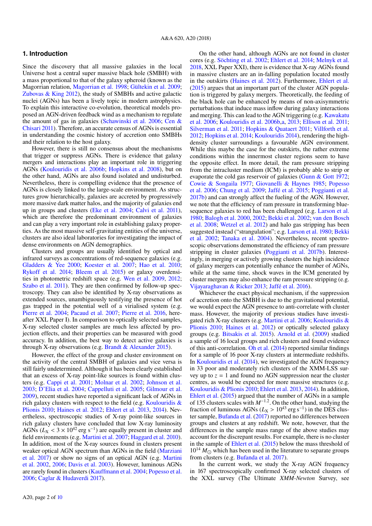## **1. Introduction**

Since the discovery that all massive galaxies in the local Universe host a central super massive black hole (SMBH) with a mass proportional to that of the galaxy spheroid (known as the Magorrian relation, [Magorrian et al.](#page-9-0) [1998;](#page-9-0) [Gültekin et al.](#page-9-1) [2009;](#page-9-1) [Zubovas & King](#page-9-2) [2012\)](#page-9-2), the study of SMBHs and active galactic nuclei (AGNs) has been a lively topic in modern astrophysics. To explain this interactive co-evolution, theoretical models proposed an AGN-driven feedback wind as a mechanism to regulate the amount of gas in galaxies [\(Schawinski et al.](#page-9-3) [2006;](#page-9-3) [Cen &](#page-8-1) [Chisari](#page-8-1) [2011\)](#page-8-1). Therefore, an accurate census of AGNs is essential in understanding the cosmic history of accretion onto SMBHs and their relation to the host galaxy.

However, there is still no consensus about the mechanisms that trigger or suppress AGNs. There is evidence that galaxy mergers and interactions play an important role in triggering AGNs [\(Koulouridis et al.](#page-9-4) [2006b;](#page-9-4) [Hopkins et al.](#page-9-5) [2008\)](#page-9-5), but on the other hand, AGNs are also found isolated and undisturbed. Nevertheless, there is compelling evidence that the presence of AGNs is closely linked to the large-scale environment. As structures grow hierarchically, galaxies are accreted by progressively more massive dark matter halos, and the majority of galaxies end up in groups and clusters [\(Eke et al.](#page-9-6) [2004;](#page-9-6) [Calvi et al.](#page-8-2) [2011\)](#page-8-2), which are therefore the predominant environment of galaxies and can play a very important role in establishing galaxy properties. As the most massive self-gravitating entities of the universe, clusters are also ideal laboratories for investigating the impact of dense environments on AGN demographics.

Clusters and groups are usually identified by optical and infrared surveys as concentrations of red-sequence galaxies (e.g. [Gladders & Yee](#page-9-7) [2000;](#page-9-7) [Koester et al.](#page-9-8) [2007;](#page-9-8) [Hao et al.](#page-9-9) [2010;](#page-9-9) [Rykoff et al.](#page-9-10) [2014;](#page-9-10) [Bleem et al.](#page-8-3) [2015\)](#page-8-3) or galaxy overdensities in photometric redshift space (e.g. [Wen et al.](#page-9-11) [2009,](#page-9-11) [2012;](#page-9-12) [Szabo et al.](#page-9-13) [2011\)](#page-9-13). They are then confirmed by follow-up spectroscopy. They can also be identified by X-ray observations as extended sources, unambiguously testifying the presence of hot gas trapped in the potential well of a virialised system (e.g. [Pierre et al.](#page-9-14) [2004;](#page-9-14) [Pacaud et al.](#page-9-15) [2007;](#page-9-15) [Pierre et al.](#page-9-16) [2016,](#page-9-16) hereafter XXL Paper I). In comparison to optically selected samples, X-ray selected cluster samples are much less affected by projection effects, and their properties can be measured with good accuracy. In addition, the best way to detect active galaxies is through X-ray observations (e.g. [Brandt & Alexander](#page-8-4) [2015\)](#page-8-4).

However, the effect of the group and cluster environment on the activity of the central SMBH of galaxies and vice versa is still fairly undetermined. Although it has been clearly established that an excess of X-ray point-like sources is found within clusters (e.g. [Cappi et al.](#page-8-5) [2001;](#page-8-5) [Molnar et al.](#page-9-17) [2002;](#page-9-17) [Johnson et al.](#page-9-18) [2003;](#page-9-18) [D'Elia et al.](#page-8-6) [2004;](#page-8-6) [Cappelluti et al.](#page-8-7) [2005;](#page-8-7) [Gilmour et al.](#page-9-19) [2009\)](#page-9-19), recent studies have reported a significant lack of AGNs in rich galaxy clusters with respect to the field (e.g. Koulouridis  $\&$ [Plionis](#page-9-20) [2010;](#page-9-20) [Haines et al.](#page-9-21) [2012;](#page-9-21) [Ehlert et al.](#page-8-8) [2013,](#page-8-8) [2014\)](#page-8-9). Nevertheless, spectroscopic studies of X-ray point-like sources in rich galaxy clusters have concluded that low X-ray luminosity AGNs ( $L_X < 3 \times 10^{42}$  erg s<sup>-1</sup>) are equally present in cluster and field environments (e.g. Martini et al. 2007: Haggard et al. 2010) field environments (e.g. [Martini et al.](#page-9-22) [2007;](#page-9-22) [Haggard et al.](#page-9-23) [2010\)](#page-9-23). In addition, most of the X-ray sources found in clusters present weaker optical AGN spectrum than AGNs in the field [\(Marziani](#page-9-24) [et al.](#page-9-24) [2017\)](#page-9-24) or show no signs of an optical AGN (e.g. [Martini](#page-9-25) [et al.](#page-9-25) [2002,](#page-9-25) [2006;](#page-9-26) [Davis et al.](#page-8-10) [2003\)](#page-8-10). However, luminous AGNs are rarely found in clusters [\(Kauffmann et al.](#page-9-27) [2004;](#page-9-27) [Popesso et al.](#page-9-28) [2006;](#page-9-28) [Caglar & Hudaverdi](#page-8-11) [2017\)](#page-8-11).

[2018,](#page-9-30) XXL Paper XXI), there is evidence that X-ray AGNs found in massive clusters are an in-falling population located mostly in the outskirts [\(Haines et al.](#page-9-21) [2012\)](#page-9-21). Furthermore, [Ehlert et al.](#page-9-31) [\(2015\)](#page-9-31) argues that an important part of the cluster AGN population is triggered by galaxy mergers. Theoretically, the feeding of the black hole can be enhanced by means of non-axisymmetric perturbations that induce mass inflow during galaxy interactions and merging. This can lead to the AGN triggering (e.g. [Kawakatu](#page-9-32) [et al.](#page-9-32) [2006;](#page-9-32) [Koulouridis et al.](#page-9-4) [2006b](#page-9-4)[,a,](#page-9-33) [2013;](#page-9-34) [Ellison et al.](#page-9-35) [2011;](#page-9-35) [Silverman et al.](#page-9-36) [2011;](#page-9-36) [Hopkins & Quataert](#page-9-37) [2011;](#page-9-37) [Villforth et al.](#page-9-38) [2012;](#page-9-38) [Hopkins et al.](#page-9-39) [2014;](#page-9-39) [Koulouridis](#page-9-40) [2014\)](#page-9-40), rendering the highdensity cluster surroundings a favourable AGN environment. While this maybe the case for the outskirts, the rather extreme conditions within the innermost cluster regions seem to have the opposite effect. In more detail, the ram pressure stripping from the intracluster medium (ICM) is probably able to strip or evaporate the cold gas reservoir of galaxies [\(Gunn & Gott](#page-9-41) [1972;](#page-9-41) [Cowie & Songaila](#page-8-12) [1977;](#page-8-12) [Giovanelli & Haynes](#page-9-42) [1985;](#page-9-42) [Popesso](#page-9-28) [et al.](#page-9-28) [2006;](#page-9-28) [Chung et al.](#page-8-13) [2009;](#page-8-13) [Jaffé et al.](#page-9-43) [2015;](#page-9-43) [Poggianti et al.](#page-9-44) [2017b\)](#page-9-44) and can strongly affect the fueling of the AGN. However, we note that the efficiency of ram pressure in transforming bluesequence galaxies to red has been challenged (e.g. [Larson et al.](#page-9-45) [1980;](#page-9-45) [Balogh et al.](#page-8-14) [2000,](#page-8-14) [2002;](#page-8-15) [Bekki et al.](#page-8-16) [2002;](#page-8-16) [van den Bosch](#page-9-46) [et al.](#page-9-46) [2008;](#page-9-46) [Wetzel et al.](#page-9-47) [2012\)](#page-9-47) and halo gas stripping has been suggested instead ("strangulation"; e.g. [Larson et al.](#page-9-45) [1980;](#page-9-45) [Bekki](#page-8-16) [et al.](#page-8-16) [2002;](#page-8-16) [Tanaka et al.](#page-9-48) [2004\)](#page-9-48). Nevertheless, recent spectroscopic observations demonstrated the efficiency of ram pressure stripping in cluster galaxies [\(Poggianti et al.](#page-9-44) [2017b\)](#page-9-44). Interestingly, in merging or actively growing clusters the high incidence of galaxy mergers can potentially enhance the number of AGNs, while at the same time, shock waves in the ICM generated by cluster mergers may also enhance the ram pressure stripping (e.g.

[Vijayaraghavan & Ricker](#page-9-49) [2013;](#page-9-49) [Jaffé et al.](#page-9-50) [2016\)](#page-9-50).

On the other hand, although AGNs are not found in cluster cores (e.g. [Söchting et al.](#page-9-29) [2002;](#page-9-29) [Ehlert et al.](#page-8-9) [2014;](#page-8-9) [Melnyk et al.](#page-9-30)

Whichever the exact physical mechanism, if the suppression of accretion onto the SMBH is due to the gravitational potential, we would expect the AGN presence to anti-correlate with cluster mass. However, the majority of previous studies have investigated rich X-ray clusters (e.g. [Martini et al.](#page-9-26) [2006;](#page-9-26) [Koulouridis &](#page-9-20) [Plionis](#page-9-20) [2010;](#page-9-20) [Haines et al.](#page-9-21) [2012\)](#page-9-21) or optically selected galaxy groups (e.g. [Bitsakis et al.](#page-8-17) [2015\)](#page-8-17). [Arnold et al.](#page-8-18) [\(2009\)](#page-8-18) studied a sample of 16 local groups and rich clusters and found evidence of this anti-correlation. [Oh et al.](#page-9-51) [\(2014\)](#page-9-51) reported similar findings for a sample of 16 poor X-ray clusters at intermediate redshifts. In [Koulouridis et al.](#page-9-52) [\(2014\)](#page-9-52), we investigated the AGN frequency in 33 poor and moderately rich clusters of the XMM-LSS survey up to  $z = 1$  and found no AGN suppression near the cluster centres, as would be expected for more massive structures (e.g. [Koulouridis & Plionis](#page-9-20) [2010;](#page-9-20) [Ehlert et al.](#page-8-8) [2013,](#page-8-8) [2014\)](#page-8-9). In addition, [Ehlert et al.](#page-9-31) [\(2015\)](#page-9-31) argued that the number of AGNs in a sample of 135 clusters scales with *M*<sup>−</sup>1.<sup>2</sup> . On the other hand, studying the fraction of luminous AGNs  $(L_X > 10^{43} \text{ erg s}^{-1})$  in the DES cluster sample Bufanda et al. (2017) reported no differences between ter sample, [Bufanda et al.](#page-8-19) [\(2017\)](#page-8-19) reported no differences between groups and clusters at any redshift. We note, however, that the differences in the sample mass range of the above studies may account for the discrepant results. For example, there is no cluster in the sample of [Ehlert et al.](#page-9-31) [\(2015\)](#page-9-31) below the mass threshold of  $10^{14}$   $M_{\odot}$  which has been used in the literature to separate groups from clusters (e.g. [Bufanda et al.](#page-8-19) [2017\)](#page-8-19).

In the current work, we study the X-ray AGN frequency in 167 spectroscopically confirmed X-ray selected clusters of the XXL survey (The Ultimate *XMM-Newton* Survey, see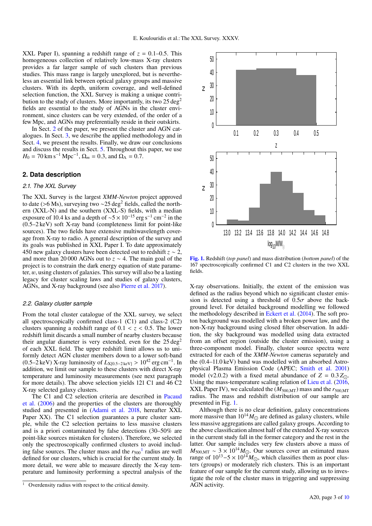XXL Paper I), spanning a redshift range of  $z = 0.1 - 0.5$ . This homogeneous collection of relatively low-mass X-ray clusters provides a far larger sample of such clusters than previous studies. This mass range is largely unexplored, but is nevertheless an essential link between optical galaxy groups and massive clusters. With its depth, uniform coverage, and well-defined selection function, the XXL Survey is making a unique contribution to the study of clusters. More importantly, its two  $25 \text{ deg}^2$ fields are essential to the study of AGNs in the cluster environment, since clusters can be very extended, of the order of a few Mpc, and AGNs may preferentially reside in their outskirts.

In Sect. [2](#page-2-0) of the paper, we present the cluster and AGN catalogues. In Sect. [3,](#page-3-0) we describe the applied methodology and in Sect. [4,](#page-4-0) we present the results. Finally, we draw our conclusions and discuss the results in Sect. [5.](#page-6-0) Throughout this paper, we use  $H_0 = 70 \text{ km s}^{-1} \text{ Mpc}^{-1}, \Omega_m = 0.3, \text{ and } \Omega_{\Lambda} = 0.7.$ 

## <span id="page-2-0"></span>**2. Data description**

## *2.1. The XXL Survey*

The XXL Survey is the largest *XMM-Newton* project approved to date (>6 Ms), surveying two <sup>∼</sup>25 deg<sup>2</sup> fields, called the northern (XXL-N) and the southern (XXL-S) fields, with a median exposure of 10.4 ks and a depth of  $\sim$ 5 × 10<sup>-15</sup> erg s<sup>-1</sup> cm<sup>-2</sup> in the (0.5–2 keV) soft X-ray band (completeness limit for point-like sources). The two fields have extensive multiwavelength coverage from X-ray to radio. A general description of the survey and its goals was published in XXL Paper I. To date approximately 450 new galaxy clusters have been detected out to redshift *z* ∼ 2, and more than 20 000 AGNs out to *z* ∼ 4. The main goal of the project is to constrain the dark energy equation of state parameter, w, using clusters of galaxies. This survey will also be a lasting legacy for cluster scaling laws and studies of galaxy clusters, AGNs, and X-ray background (see also [Pierre et al.](#page-9-53) [2017\)](#page-9-53).

## *2.2. Galaxy cluster sample*

From the total cluster catalogue of the XXL survey, we select all spectroscopically confirmed class-1 (C1) and class-2 (C2) clusters spanning a redshift range of  $0.1 < z < 0.5$ . The lower redshift limit discards a small number of nearby clusters because their angular diameter is very extended, even for the  $25 \text{ deg}^2$ of each XXL field. The upper redshift limit allows us to uniformly detect AGN cluster members down to a lower soft-band (0.5–2 keV) X-ray luminosity of  $L_{X[0.5-2\text{ keV}]} > 10^{42}$  erg cm<sup>-1</sup>. In addition, we limit our sample to these clusters with direct X-ray addition, we limit our sample to these clusters with direct X-ray temperature and luminosity measurements (see next paragraph for more details). The above selection yields 121 C1 and 46 C2 X-ray selected galaxy clusters.

The C1 and C2 selection criteria are described in [Pacaud](#page-9-54) [et al.](#page-9-54) [\(2006\)](#page-9-54) and the properties of the clusters are thoroughly studied and presented in [\(Adami et al.](#page-8-20) [2018,](#page-8-20) hereafter XXL Paper XX). The C1 selection guarantees a pure cluster sample, while the C2 selection pertains to less massive clusters and is a priori contaminated by false detections (30–50% are point-like sources mistaken for clusters). Therefore, we selected only the spectroscopically confirmed clusters to avoid including false sources. The cluster mass and the  $r_{500}$ <sup>[1](#page-2-1)</sup> radius are well defined for our clusters, which is crucial for the current study. In more detail, we were able to measure directly the X-ray temperature and luminosity performing a spectral analysis of the



<span id="page-2-2"></span>[Fig. 1.](http://dexter.edpsciences.org/applet.php?DOI=10.1051/0004-6361/201832974&pdf_id=0) Redshift (*top panel*) and mass distribution (*bottom panel*) of the 167 spectroscopically confirmed C1 and C2 clusters in the two XXL fields.

X-ray observations. Initially, the extent of the emission was defined as the radius beyond which no significant cluster emission is detected using a threshold of  $0.5\sigma$  above the background level. For detailed background modelling we followed the methodology described in [Eckert et al.](#page-8-21) [\(2014\)](#page-8-21). The soft proton background was modelled with a broken power law, and the non-X-ray background using closed filter observation. In addition, the sky background was modelled using data extracted from an offset region (outside the cluster emission), using a three-component model. Finally, cluster source spectra were extracted for each of the *XMM-Newton* cameras separately and the (0.4–11.0 keV) band was modelled with an absorbed Astrophysical Plasma Emission Code (APEC; [Smith et al.](#page-9-55) [2001\)](#page-9-55) model (v2.0.2) with a fixed metal abundance of  $Z = 0.3 Z_{\odot}$ . Using the mass-temperature scaling relation of [Lieu et al.](#page-9-56) [\(2016,](#page-9-56) XXL Paper IV), we calculated the  $(M_{500,MT})$  mass and the  $r_{500,MT}$ radius. The mass and redshift distribution of our sample are presented in Fig. [1.](#page-2-2)

Although there is no clear definition, galaxy concentrations more massive than  $10^{14} M_{\odot}$  are defined as galaxy clusters, while less massive aggregations are called galaxy groups. According to the above classification almost half of the extended X-ray sources in the current study fall in the former category and the rest in the latter. Our sample includes very few clusters above a mass of  $M_{500, \text{MT}} \sim 3 \times 10^{14} M_{\odot}$ . Our sources cover an estimated mass range of  $10^{13} - 5 \times 10^{14} M_{\odot}$ , which classifies them as poor clusters (groups) or moderately rich clusters. This is an important feature of our sample for the current study, allowing us to investigate the role of the cluster mass in triggering and suppressing AGN activity.

<span id="page-2-1"></span><sup>&</sup>lt;sup>1</sup> Overdensity radius with respect to the critical density.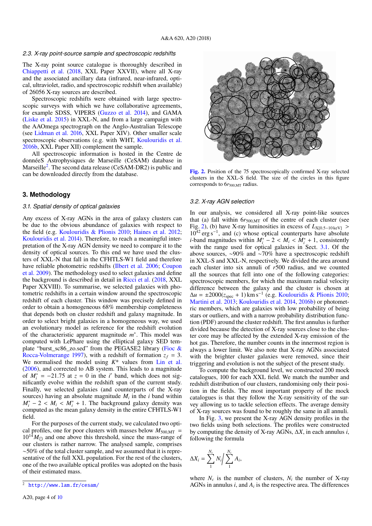#### *2.3. X-ray point-source sample and spectroscopic redshifts*

The X-ray point source catalogue is thoroughly described in [Chiappetti et al.](#page-8-22) [\(2018,](#page-8-22) XXL Paper XXVII), where all X-ray and the associated ancillary data (infrared, near-infrared, optical, ultraviolet, radio, and spectroscopic redshift when available) of 26056 X-ray sources are described.

Spectroscopic redshifts were obtained with large spectroscopic surveys with which we have collaborative agreements, for example SDSS, VIPERS [\(Guzzo et al.](#page-9-57) [2014\)](#page-9-57), and GAMA [\(Liske et al.](#page-9-58) [2015\)](#page-9-58) in XXL-N, and from a large campaign with the AAOmega spectrograph on the Anglo-Australian Telescope (see [Lidman et al.](#page-9-59) [2016,](#page-9-59) XXL Paper XIV). Other smaller scale spectroscopic observations (e.g. with WHT, [Koulouridis et al.](#page-9-60) [2016b,](#page-9-60) XXL Paper XII) complement the sample.

All spectroscopic information is hosted in the Centre de donnéeS Astrophysiques de Marseille (CeSAM) database in Marseille<sup>[2](#page-3-1)</sup>. The second data release (CeSAM-DR2) is public and can be downloaded directly from the database.

## <span id="page-3-0"></span>**3. Methodology**

#### <span id="page-3-3"></span>*3.1. Spatial density of optical galaxies*

Any excess of X-ray AGNs in the area of galaxy clusters can be due to the obvious abundance of galaxies with respect to the field (e.g. [Koulouridis & Plionis](#page-9-20) [2010;](#page-9-20) [Haines et al.](#page-9-21) [2012;](#page-9-21) [Koulouridis et al.](#page-9-52) [2014\)](#page-9-52). Therefore, to reach a meaningful interpretation of the X-ray AGN density we need to compare it to the density of optical sources. To this end we have used the clusters of XXL-N that fall in the CFHTLS-W1 field and therefore have reliable photometric redshifts [\(Ilbert et al.](#page-9-61) [2006;](#page-9-61) [Coupon](#page-8-23) [et al.](#page-8-23) [2009\)](#page-8-23). The methodology used to select galaxies and define the background is described in detail in [Ricci et al.](#page-9-62) [\(2018,](#page-9-62) XXL Paper XXVIII). To summarise, we selected galaxies with photometric redshifts in a certain window around the spectroscopic redshift of each cluster. This window was precisely defined in order to obtain a homogeneous 68% membership completeness that depends both on cluster redshift and galaxy magnitude. In order to select bright galaxies in a homogeneous way, we used an evolutionary model as reference for the redshift evolution of the characteristic apparent magnitude *m* ∗ . This model was computed with LePhare using the elliptical galaxy SED template "burst\_sc86\_zo.sed" from the PEGASE2 library [\(Fioc &](#page-9-63) [Rocca-Volmerange](#page-9-63) [1997\)](#page-9-63), with a redshift of formation  $z_f = 3$ . We normalised the model using *K*\* values from [Lin et al.](#page-9-64) [\(2006\)](#page-9-64), and corrected to AB system. This leads to a magnitude of  $M_i^* = -21.75$  at  $z = 0$  in the *i*' band, which does not sig-<br>pificantly evolve within the redshift span of the current study nificantly evolve within the redshift span of the current study. Finally, we selected galaxies (and counterparts of the X-ray sources) having an absolute magnitude  $M_i$  in the *i* band within  $M_i^*$  − 2 <  $M_i$  <  $M_i^*$  + 1. The background galaxy density was<br>computed as the mean galaxy density in the entire CEHTLS-W1 computed as the mean galaxy density in the entire CFHTLS-W1 field.

For the purposes of the current study, we calculated two optical profiles, one for poor clusters with masses below  $M_{500,MT}$  =  $10^{14} M_{\odot}$  and one above this threshold, since the mass-range of our clusters is rather narrow. The analysed sample, comprises ∼50% of the total cluster sample, and we assumed that it is representative of the full XXL population. For the rest of the clusters, one of the two available optical profiles was adopted on the basis of their estimated mass.



<span id="page-3-2"></span>[Fig. 2.](http://dexter.edpsciences.org/applet.php?DOI=10.1051/0004-6361/201832974&pdf_id=0) Position of the 75 spectroscopically confirmed X-ray selected clusters in the XXL-S field. The size of the circles in this figure corresponds to 6 $r_{500,MT}$  radius.

#### <span id="page-3-4"></span>*3.2. X-ray AGN selection*

In our analysis, we considered all X-ray point-like sources that (a) fall within  $6r_{500,MT}$  of the centre of each cluster (see Fig. [2\)](#page-3-2), (b) have X-ray luminosities in excess of  $L_{X[0.5-10 \text{ keV}]}$  >  $10^{42}$  erg s<sup>-1</sup>, and (c) whose optical counterparts have absolute *i*-band magnitudes within  $M_i^*$  – 2 <  $M_i$  <  $M_i^*$  + 1, consistently with the range used for optical galaxies in Sect 3.1. Of the with the range used for optical galaxies in Sect. [3.1.](#page-3-3) Of the above sources, ∼90% and ∼70% have a spectroscopic redshift in XXL-S and XXL-N, respectively. We divided the area around each cluster into six annuli of *r*500 radius, and we counted all the sources that fell into one of the following categories: spectroscopic members, for which the maximum radial velocity difference between the galaxy and the cluster is chosen at  $\Delta u = \pm 2000(z_{\text{spec}} + 1) \text{ km s}^{-1}$  (e.g. [Koulouridis & Plionis](#page-9-20) [2010;](#page-9-20) [Martini et al.](#page-9-65) [2013;](#page-9-65) [Koulouridis et al.](#page-9-52) [2014,](#page-9-52) [2016b\)](#page-9-60) or photometric members, which are galaxies with low probability of being stars or outliers, and with a narrow probability distribution function (PDF) around the cluster redshift. The first annulus is further divided because the detection of X-ray sources close to the cluster core may be affected by the extended X-ray emission of the hot gas. Therefore, the number counts in the innermost region is always a lower limit. We also note that X-ray AGNs associated with the brighter cluster galaxies were removed, since their triggering and evolution is not the subject of the present study.

To compute the background level, we constructed 200 mock catalogues, 100 for each XXL field. We match the number and redshift distribution of our clusters, randomising only their position in the fields. The most important property of the mock catalogues is that they follow the X-ray sensitivity of the survey allowing us to tackle selection effects. The average density of X-ray sources was found to be roughly the same in all annuli.

In Fig. [3,](#page-4-1) we present the X-ray AGN density profiles in the two fields using both selections. The profiles were constructed by computing the density of X-ray AGNs, ∆*X*, in each annulus *i*, following the formula

$$
\Delta X_i = \sum_{1}^{N_c} N_i \bigg/ \sum_{1}^{N_c} A_i,
$$

where  $N_c$  is the number of clusters,  $N_i$  the number of X-ray AGNs in annulus  $i$ , and  $A_i$  is the respective area. The differences

<span id="page-3-1"></span><sup>2</sup> <http://www.lam.fr/cesam/>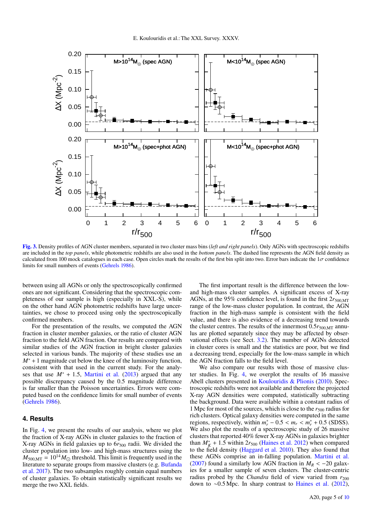

<span id="page-4-1"></span>[Fig. 3.](http://dexter.edpsciences.org/applet.php?DOI=10.1051/0004-6361/201832974&pdf_id=0) Density profiles of AGN cluster members, separated in two cluster mass bins (*left and right panels*). Only AGNs with spectroscopic redshifts are included in the *top panels*, while photometric redshifts are also used in the *bottom panels*. The dashed line represents the AGN field density as calculated from 100 mock catalogues in each case. Open circles mark the results of the first bin split into two. Error bars indicate the  $1\sigma$  confidence limits for small numbers of events [\(Gehrels](#page-9-66) [1986\)](#page-9-66).

between using all AGNs or only the spectroscopically confirmed ones are not significant. Considering that the spectroscopic completeness of our sample is high (especially in XXL-S), while on the other hand AGN photometric redshifts have large uncertainties, we chose to proceed using only the spectroscopically confirmed members.

For the presentation of the results, we computed the AGN fraction in cluster member galaxies, or the ratio of cluster AGN fraction to the field AGN fraction. Our results are compared with similar studies of the AGN fraction in bright cluster galaxies selected in various bands. The majority of these studies use an *M*<sup>∗</sup> + 1 magnitude cut below the knee of the luminosity function, consistent with that used in the current study. For the analyses that use  $M^* + 1.5$ , [Martini et al.](#page-9-65) [\(2013\)](#page-9-65) argued that any possible discrepancy caused by the 0.5 magnitude difference is far smaller than the Poisson uncertainties. Errors were computed based on the confidence limits for small number of events [\(Gehrels](#page-9-66) [1986\)](#page-9-66).

## <span id="page-4-0"></span>**4. Results**

In Fig. [4,](#page-5-0) we present the results of our analysis, where we plot the fraction of X-ray AGNs in cluster galaxies to the fraction of X-ray AGNs in field galaxies up to 6 $r_{500}$  radii. We divided the cluster population into low- and high-mass structures using the  $M_{500,MT} = 10^{14} M_{\odot}$  threshold. This limit is frequently used in the literature to separate groups from massive clusters (e.g. [Bufanda](#page-8-19) [et al.](#page-8-19) [2017\)](#page-8-19). The two subsamples roughly contain equal numbers of cluster galaxies. To obtain statistically significant results we merge the two XXL fields.

The first important result is the difference between the lowand high-mass cluster samples. A significant excess of X-ray AGNs, at the 95% confidence level, is found in the first  $2r_{500,MT}$ range of the low-mass cluster population. In contrast, the AGN fraction in the high-mass sample is consistent with the field value, and there is also evidence of a decreasing trend towards the cluster centres. The results of the innermost  $0.5r_{500,MT}$  annulus are plotted separately since they may be affected by observational effects (see Sect. [3.2\)](#page-3-4). The number of AGNs detected in cluster cores is small and the statistics are poor, but we find a decreasing trend, especially for the low-mass sample in which the AGN fraction falls to the field level.

We also compare our results with those of massive cluster studies. In Fig. [4,](#page-5-0) we overplot the results of 16 massive Abell clusters presented in [Koulouridis & Plionis](#page-9-20) [\(2010\)](#page-9-20). Spectroscopic redshifts were not available and therefore the projected X-ray AGN densities were computed, statistically subtracting the background. Data were available within a constant radius of 1 Mpc for most of the sources, which is close to the  $r_{500}$  radius for rich clusters. Optical galaxy densities were computed in the same regions, respectively, within  $m_r^* - 0.5 < m_r < m_r^* + 0.5$  (SDSS).<br>We also plot the results of a spectroscopic study of 26 massive We also plot the results of a spectroscopic study of 26 massive clusters that reported 40% fewer X-ray AGNs in galaxies brighter than  $M_K^* + 1.5$  within  $2r_{500}$  [\(Haines et al.](#page-9-21) [2012\)](#page-9-21) when compared<br>to the field density (Haggard et al. 2010). They also found that to the field density [\(Haggard et al.](#page-9-23) [2010\)](#page-9-23). They also found that these AGNs comprise an in-falling population. [Martini et al.](#page-9-22) [\(2007\)](#page-9-22) found a similarly low AGN fraction in  $M_R < -20$  galaxies for a smaller sample of seven clusters. The cluster-centric radius probed by the *Chandra* field of view varied from  $r_{200}$ down to ∼0.5 Mpc. In sharp contrast to [Haines et al.](#page-9-21) [\(2012\)](#page-9-21),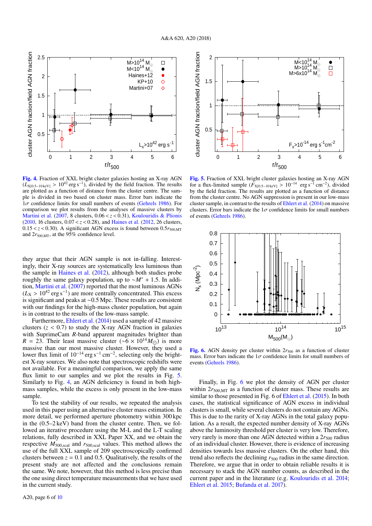

<span id="page-5-0"></span>[Fig. 4.](http://dexter.edpsciences.org/applet.php?DOI=10.1051/0004-6361/201832974&pdf_id=0) Fraction of XXL bright cluster galaxies hosting an X-ray AGN  $(L_{X[0.5-10 \text{keV}]}>10^{42} \text{ erg s}^{-1})$ , divided by the field fraction. The results are plotted as a function of distance from the cluster centre. The samare plotted as a function of distance from the cluster centre. The sample is divided in two based on cluster mass. Error bars indicate the  $1\sigma$  confidence limits for small numbers of events [\(Gehrels](#page-9-66) [1986\)](#page-9-66). For comparison we plot results from the analyses of massive clusters by [Martini et al.](#page-9-22) [\(2007,](#page-9-22) 8 clusters, 0.06 < *z* < 0.31), [Koulouridis & Plionis](#page-9-20) [\(2010,](#page-9-20) 16 clusters, <sup>0</sup>.<sup>07</sup> < *<sup>z</sup>* < 0.28), and [Haines et al.](#page-9-21) [\(2012,](#page-9-21) 26 clusters,  $0.15 < z < 0.30$ ). A significant AGN excess is found between  $0.5r_{500,MT}$ and 2 $r_{500,MT}$ , at the 95% confidence level.

they argue that their AGN sample is not in-falling. Interestingly, their X-ray sources are systematically less luminous than the sample in [Haines et al.](#page-9-21) [\(2012\)](#page-9-21), although both studies probe roughly the same galaxy population, up to <sup>∼</sup>*M*<sup>∗</sup> <sup>+</sup> <sup>1</sup>.5. In addition, [Martini et al.](#page-9-22) [\(2007\)](#page-9-22) reported that the most luminous AGNs  $(L_X > 10^{42} \text{ erg s}^{-1})$  are more centrally concentrated. This excess<br>is significant and peaks at ~0.5 Mpc. These results are consistent is significant and peaks at ∼0.5 Mpc. These results are consistent with our findings for the high-mass cluster population, but again is in contrast to the results of the low-mass sample.

Furthermore, [Ehlert et al.](#page-8-9) [\(2014\)](#page-8-9) used a sample of 42 massive clusters  $(z < 0.7)$  to study the X-ray AGN fraction in galaxies with SuprimeCam *R*-band apparent magnitudes brighter than  $R = 23$ . Their least massive cluster (~6 × 10<sup>14</sup> $M_{\odot}$ ) is more massive than our most massive cluster. However, they used a lower flux limit of  $10^{-14}$  erg s<sup>-1</sup> cm<sup>-2</sup>, selecting only the brightest X-ray sources. We also note that spectroscopic redshifts were not available. For a meaningful comparison, we apply the same flux limit to our samples and we plot the results in Fig. [5.](#page-5-1) Similarly to Fig. [4,](#page-5-0) an AGN deficiency is found in both highmass samples, while the excess is only present in the low-mass sample.

To test the stability of our results, we repeated the analysis used in this paper using an alternative cluster mass estimation. In more detail, we performed aperture photometry within 300 kpc in the (0.5–2 keV) band from the cluster centre. Then, we followed an iterative procedure using the M-L and the L-T scaling relations, fully described in XXL Paper XX, and we obtain the respective *<sup>M</sup>*<sup>500</sup>,scal and *<sup>r</sup>*<sup>500</sup>,scal values. This method allows the use of the full XXL sample of 209 spectroscopically confirmed clusters between  $z = 0.1$  and 0.5. Qualitatively, the results of the present study are not affected and the conclusions remain the same. We note, however, that this method is less precise than the one using direct temperature measurements that we have used in the current study.



<span id="page-5-1"></span>[Fig. 5.](http://dexter.edpsciences.org/applet.php?DOI=10.1051/0004-6361/201832974&pdf_id=0) Fraction of XXL bright cluster galaxies hosting an X-ray AGN for a flux-limited sample  $(F_{X[0.5-10 \text{ keV}]} > 10^{-14}$  erg s<sup>-1</sup> cm<sup>-2</sup>), divided<br>by the field fraction. The results are plotted as a function of distance by the field fraction. The results are plotted as a function of distance from the cluster centre. No AGN suppression is present in our low-mass cluster sample, in contrast to the results of [Ehlert et al.](#page-8-9) [\(2014\)](#page-8-9) on massive clusters. Error bars indicate the  $1\sigma$  confidence limits for small numbers of events [\(Gehrels](#page-9-66) [1986\)](#page-9-66).



<span id="page-5-2"></span>[Fig. 6.](http://dexter.edpsciences.org/applet.php?DOI=10.1051/0004-6361/201832974&pdf_id=0) AGN density per cluster within  $2r_{500}$  as a function of cluster mass. Error bars indicate the  $1\sigma$  confidence limits for small numbers of events [\(Gehrels](#page-9-66) [1986\)](#page-9-66).

Finally, in Fig. [6](#page-5-2) we plot the density of AGN per cluster within  $2r_{500,MT}$  as a function of cluster mass. These results are similar to those presented in Fig. 6 of [Ehlert et al.](#page-9-31) [\(2015\)](#page-9-31). In both cases, the statistical significance of AGN excess in individual clusters is small, while several clusters do not contain any AGNs. This is due to the rarity of X-ray AGNs in the total galaxy population. As a result, the expected number density of X-ray AGNs above the luminosity threshold per cluster is very low. Therefore, very rarely is more than one AGN detected within a  $2r_{500}$  radius of an individual cluster. However, there is evidence of increasing densities towards less massive clusters. On the other hand, this trend also reflects the declining  $r_{500}$  radius in the same direction. Therefore, we argue that in order to obtain reliable results it is necessary to stack the AGN number counts, as described in the current paper and in the literature (e.g. [Koulouridis et al.](#page-9-52) [2014;](#page-9-52) [Ehlert et al.](#page-9-31) [2015;](#page-9-31) [Bufanda et al.](#page-8-19) [2017\)](#page-8-19).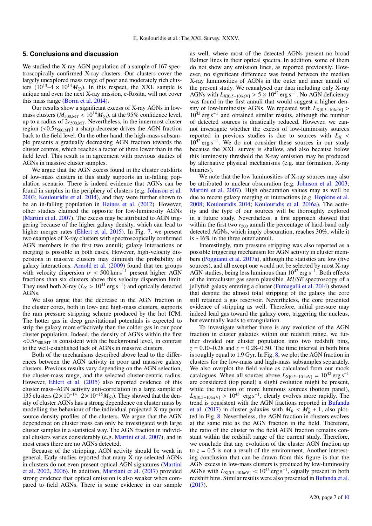## <span id="page-6-0"></span>**5. Conclusions and discussion**

We studied the X-ray AGN population of a sample of 167 spectroscopically confirmed X-ray clusters. Our clusters cover the largely unexplored mass range of poor and moderately rich clusters  $(10^{13} - 4 \times 10^{14} M_{\odot})$ . In this respect, the XXL sample is unique and even the next X-ray mission, e-Rosita, will not cover this mass range [\(Borm et al.](#page-8-24) [2014\)](#page-8-24).

Our results show a significant excess of X-ray AGNs in lowmass clusters ( $M_{500,MT}$  < 10<sup>14</sup> $M_{\odot}$ ), at the 95% confidence level, up to a radius of  $2r_{500,MT}$ . Nevertheless, in the innermost cluster region (<0.5*r*<sup>500</sup>,MT) a sharp decrease drives the AGN fraction back to the field level. On the other hand, the high-mass subsample presents a gradually decreasing AGN fraction towards the cluster centres, which reaches a factor of three lower than in the field level. This result is in agreement with previous studies of AGNs in massive cluster samples.

We argue that the AGN excess found in the cluster outskirts of low-mass clusters in this study supports an in-falling population scenario. There is indeed evidence that AGNs can be found in surplus in the periphery of clusters (e.g. [Johnson et al.](#page-9-18) [2003;](#page-9-18) [Koulouridis et al.](#page-9-52) [2014\)](#page-9-52), and they were further shown to be an in-falling population in [Haines et al.](#page-9-21) [\(2012\)](#page-9-21). However, other studies claimed the opposite for low-luminosity AGNs [\(Martini et al.](#page-9-22) [2007\)](#page-9-22). The excess may be attributed to AGN triggering because of the higher galaxy density, which can lead to higher merger rates [\(Ehlert et al.](#page-9-31) [2015\)](#page-9-31). In Fig. [7,](#page-7-0) we present two examples of X-ray clusters with spectroscopically confirmed AGN members in the first two annuli; galaxy interactions or merging is possible in both cases. However, high-velocity dispersions in massive clusters may diminish the probability of galaxy interactions. [Arnold et al.](#page-8-18) [\(2009\)](#page-8-18) found that ten groups with velocity dispersion  $\sigma < 500 \text{ km s}^{-1}$  present higher AGN fractions than six clusters above this velocity dispersion limit. They used both X-ray ( $L_X > 10^{41}$  erg s<sup>-1</sup>) and optically detected AGNs AGNs.

We also argue that the decrease in the AGN fraction in the cluster cores, both in low- and high-mass clusters, supports the ram pressure stripping scheme produced by the hot ICM. The hotter gas in deep gravitational potentials is expected to strip the galaxy more effectively than the colder gas in our poor cluster population. Indeed, the density of AGNs within the first  $\langle 0.5r_{500\text{MT}}\rangle$  is consistent with the background level, in contrast to the well-established lack of AGNs in massive clusters.

Both of the mechanisms described above lead to the differences between the AGN activity in poor and massive galaxy clusters. Previous results vary depending on the AGN selection, the cluster-mass range, and the selected cluster-centric radius. However, [Ehlert et al.](#page-9-31) [\(2015\)](#page-9-31) also reported evidence of this cluster mass–AGN activity anti-correlation in a large sample of 135 clusters  $(2 \times 10^{-14} - 2 \times 10^{-15} M_{\odot})$ . They showed that the density of cluster AGNs has a strong dependence on cluster mass by modelling the behaviour of the individual projected X-ray point source density profiles of the clusters. We argue that the AGN dependence on cluster mass can only be investigated with large cluster samples in a statistical way. The AGN fraction in individual clusters varies considerably (e.g. [Martini et al.](#page-9-22) [2007\)](#page-9-22), and in most cases there are no AGNs detected.

Because of the stripping, AGN activity should be weak in general. Early studies reported that many X-ray selected AGNs in clusters do not even present optical AGN signatures [\(Martini](#page-9-25) [et al.](#page-9-25) [2002,](#page-9-25) [2006\)](#page-9-26). In addition, [Marziani et al.](#page-9-24) [\(2017\)](#page-9-24) provided strong evidence that optical emission is also weaker when compared to field AGNs. There is some evidence in our sample

as well, where most of the detected AGNs present no broad Balmer lines in their optical spectra. In addition, some of them do not show any emission lines, as reported previously. However, no significant difference was found between the median X-ray luminosities of AGNs in the outer and inner annuli of the present study. We reanalysed our data including only X-ray AGNs with  $L_{X[0.5-10 \text{ keV}]} > 5 \times 10^{42} \text{ erg s}^{-1}$ . No AGN deficiency was found in the first annuli that would suggest a higher denwas found in the first annuli that would suggest a higher density of low-luminosity AGNs. We repeated with  $L_{X[0.5-10 \text{ keV}]}$  > 10<sup>43</sup> erg s−<sup>1</sup> and obtained similar results, although the number of detected sources is drastically reduced. However, we cannot investigate whether the excess of low-luminosity sources reported in previous studies is due to sources with  $L_X$  <  $10^{42}$  erg s<sup>-1</sup>. We do not consider these sources in our study because the XXL survey is shallow, and also because below this luminosity threshold the X-ray emission may be produced by alternative physical mechanisms (e.g. star formation, X-ray binaries).

We note that the low luminosities of X-ray sources may also be attributed to nuclear obscuration (e.g. [Johnson et al.](#page-9-18) [2003;](#page-9-18) [Martini et al.](#page-9-22) [2007\)](#page-9-22). High obscuration values may as well be due to recent galaxy merging or interactions (e.g. [Hopkins et al.](#page-9-5) [2008;](#page-9-5) [Koulouridis](#page-9-40) [2014;](#page-9-40) [Koulouridis et al.](#page-9-67) [2016a\)](#page-9-67). The activity and the type of our sources will be thoroughly explored in a future study. Nevertheless, a first approach showed that within the first two  $r_{500}$  annuli the percentage of hard-band only detected AGNs, which imply obscuration, reaches 30%, while it is ∼16% in the three outer annuli.

Interestingly, ram pressure stripping was also reported as a possible triggering mechanism for AGN activity in cluster members [\(Poggianti et al.](#page-9-68) [2017a\)](#page-9-68), although the statistics are low (five sources), and all except one would not be selected by most X-ray AGN studies, being less luminous than 10<sup>42</sup> erg s<sup>-1</sup>. Both effects of the intracluster gas seem plausible. *MUSE* spectroscopy of a jellyfish galaxy entering a cluster [\(Fumagalli et al.](#page-9-69) [2014\)](#page-9-69) showed that despite the almost total stripping of the galaxy the core still retained a gas reservoir. Nevertheless, the core presented evidence of stripping as well. Therefore, initial pressure may indeed lead gas toward the galaxy core, triggering the nucleus, but eventually leads to strangulation.

To investigate whether there is any evolution of the AGN fraction in cluster galaxies within our redshift range, we further divided our cluster population into two redshift bins,  $z = 0.10 - 0.28$  and  $z = 0.28 - 0.50$ . The time interval in both bins is roughly equal to 1.9 Gyr. In Fig. [8,](#page-8-25) we plot the AGN fraction in clusters for the low-mass and high-mass subsamples separately. We also overplot the field value as calculated from our mock catalogues. When all sources above  $L_{X[0.5-10 \text{ keV}]} = 10^{42} \text{ erg s}^{-1}$ are considered (top panel) a slight evolution might be present, while the fraction of more luminous sources (bottom panel),  $L_{X[0.5-10 \text{ keV}]} > 10^{43}$  erg s<sup>-1</sup>, clearly evolves more rapidly. The trend is consistent with the AGN fractions reported in Bufanda trend is consistent with the AGN fractions reported in [Bufanda](#page-8-19) [et al.](#page-8-19) [\(2017\)](#page-8-19) in cluster galaxies with  $M_R < M_R^* + 1$ , also plot-<br>ted in Fig. 8. Nevertheless the AGN fraction in clusters evolves ted in Fig. [8.](#page-8-25) Nevertheless, the AGN fraction in clusters evolves at the same rate as the AGN fraction in the field. Therefore, the ratio of the cluster to the field AGN fraction remains constant within the redshift range of the current study. Therefore, we conclude that any evolution of the cluster AGN fraction up to  $z = 0.5$  is not a result of the environment. Another interesting conclusion that can be drawn from this figure is that the AGN excess in low-mass clusters is produced by low-luminosity AGNs with  $L_{X[0.5-10 \text{ keV}]} < 10^{43} \text{ erg s}^{-1}$ , equally present in both redshift bins. Similar results were also presented in Bufanda et al. redshift bins. Similar results were also presented in [Bufanda et al.](#page-8-19) [\(2017\)](#page-8-19).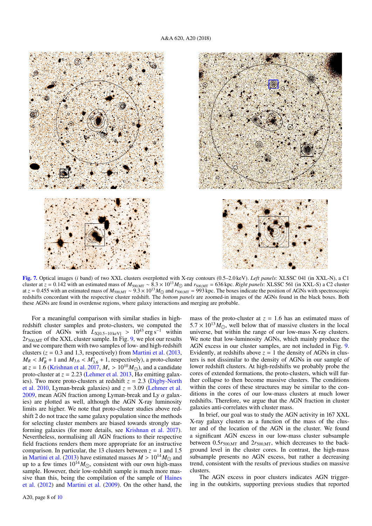

<span id="page-7-0"></span>[Fig. 7.](http://dexter.edpsciences.org/applet.php?DOI=10.1051/0004-6361/201832974&pdf_id=0) Optical images (*i* band) of two XXL clusters overplotted with X-ray contours (0.5–2.0 keV). *Left panels*: XLSSC 041 (in XXL-N), a C1 cluster at  $z = 0.142$  with an estimated mass of  $M_{500, \text{MT}} \sim 8.3 \times 10^{13} M_{\odot}$  and  $r_{500, \text{MT}} = 636$  kpc. *Right panels*: XLSSC 561 (in XXL-S) a C2 cluster at *z* = 0.455 with an estimated mass of  $M_{500\text{MT}} \sim 9.3 \times 10^{13} M_{\odot}$  and  $r_{500\text{MT}} = 993$  kpc. The boxes indicate the position of AGNs with spectroscopic redshifts concordant with the respective cluster redshift. The *bottom panels* are zoomed-in images of the AGNs found in the black boxes. Both these AGNs are found in overdense regions, where galaxy interactions and merging are probable.

For a meaningful comparison with similar studies in highredshift cluster samples and proto-clusters, we computed the fraction of AGNs with  $L_{X[0.5-10 \text{ keV}]} > 10^{43} \text{ erg s}^{-1}$  within  $2r_{500,MT}$  of the XXL cluster sample. In Fig. [9,](#page-8-26) we plot our results and we compare them with two samples of low- and high-redshift clusters  $(z = 0.3$  and 1.3, respectively) from [Martini et al.](#page-9-65) [\(2013,](#page-9-65)  $M_R < M_R^* + 1$  and  $M_{3.6} < M_{3.6}^* + 1$ , respectively), a proto-cluster<br>of  $z = 1.6$  (Krishnan et al. 2017,  $M > 10^{10} M_{\odot}$ ), and a condidate  $m_R > m_R + 1$  and  $m_{3.6} > m_{3.6} + 1$ , espectively), a proto-cluster<br>at  $z = 1.6$  [\(Krishnan et al.](#page-9-70) [2017,](#page-9-70)  $M_* > 10^{10} M_{\odot}$ ), and a candidate<br>proto-cluster at  $z = 2.23$  (Lehmer et al. 2013. H $\alpha$  emitting galaxproto-cluster at  $z = 2.23$  [\(Lehmer et al.](#page-9-71) [2013,](#page-9-71) H $\alpha$  emitting galaxies). Two more proto-clusters at redshift  $z = 2.3$  [\(Digby-North](#page-8-27) [et al.](#page-8-27) [2010,](#page-8-27) Lyman-break galaxies) and  $z = 3.09$  [\(Lehmer et al.](#page-9-72) [2009,](#page-9-72) mean AGN fraction among Lyman-break and Ly  $\alpha$  galaxies) are plotted as well, although the AGN X-ray luminosity limits are higher. We note that proto-cluster studies above redshift 2 do not trace the same galaxy population since the methods for selecting cluster members are biased towards strongly starforming galaxies (for more details, see [Krishnan et al.](#page-9-70) [2017\)](#page-9-70). Nevertheless, normalising all AGN fractions to their respective field fractions renders them more appropriate for an instructive comparison. In particular, the 13 clusters between  $z = 1$  and 1.5 in [Martini et al.](#page-9-65) [\(2013\)](#page-9-65) have estimated masses  $M > 10^{14} M_{\odot}$  and up to a few times  $10^{14} M_{\odot}$ , consistent with our own high-mass sample. However, their low-redshift sample is much more massive than this, being the compilation of the sample of [Haines](#page-9-21) [et al.](#page-9-21) [\(2012\)](#page-9-21) and [Martini et al.](#page-9-73) [\(2009\)](#page-9-73). On the other hand, the

mass of the proto-cluster at  $z = 1.6$  has an estimated mass of  $5.7 \times 10^{13} M_{\odot}$ , well below that of massive clusters in the local universe, but within the range of our low-mass X-ray clusters. We note that low-luminosity AGNs, which mainly produce the AGN excess in our cluster samples, are not included in Fig. [9.](#page-8-26) Evidently, at redshifts above  $z = 1$  the density of AGNs in clusters is not dissimilar to the density of AGNs in our sample of lower redshift clusters. At high-redshifts we probably probe the cores of extended formations, the proto-clusters, which will further collapse to then become massive clusters. The conditions within the cores of these structures may be similar to the conditions in the cores of our low-mass clusters at much lower redshifts. Therefore, we argue that the AGN fraction in cluster galaxies anti-correlates with cluster mass.

In brief, our goal was to study the AGN activity in 167 XXL X-ray galaxy clusters as a function of the mass of the cluster and of the location of the AGN in the cluster. We found a significant AGN excess in our low-mass cluster subsample between  $0.5r_{500,MT}$  and  $2r_{500,MT}$ , which decreases to the background level in the cluster cores. In contrast, the high-mass subsample presents no AGN excess, but rather a decreasing trend, consistent with the results of previous studies on massive clusters.

The AGN excess in poor clusters indicates AGN triggering in the outskirts, supporting previous studies that reported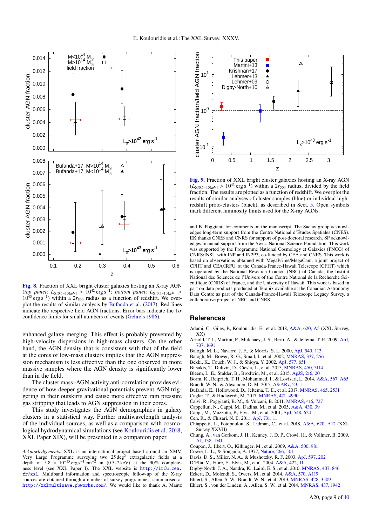

<span id="page-8-25"></span>[Fig. 8.](http://dexter.edpsciences.org/applet.php?DOI=10.1051/0004-6361/201832974&pdf_id=0) Fraction of XXL bright cluster galaxies hosting an X-ray AGN (*top panel*:  $L_{X[0.5-10 \text{ keV}]} > 10^{42} \text{ erg s}^{-1}$ ; *bottom panel*:  $L_{X[0.5-10 \text{ keV}]} > 10^{43} \text{ erg s}^{-1}$ ) within a 2*r<sub>cop</sub>* radius as a function of redshift. We over- $10^{43}$  erg s<sup>-1</sup>) within a  $2r_{500}$  radius as a function of redshift. We overplot the results of similar analysis by [Bufanda et al.](#page-8-19) [\(2017\)](#page-8-19). Red lines indicate the respective field AGN fractions. Error bars indicate the  $1\sigma$ confidence limits for small numbers of events [\(Gehrels](#page-9-66) [1986\)](#page-9-66).

enhanced galaxy merging. This effect is probably prevented by high-velocity dispersions in high-mass clusters. On the other hand, the AGN density that is consistent with that of the field at the cores of low-mass clusters implies that the AGN suppression mechanism is less effective than the one observed in more massive samples where the AGN density is significantly lower than in the field.

The cluster mass–AGN activity anti-correlation provides evidence of how deeper gravitational potentials prevent AGN triggering in their outskirts and cause more effective ram pressure gas stripping that leads to AGN suppression in their cores.

This study investigates the AGN demographics in galaxy clusters in a statistical way. Further multiwavelength analysis of the individual sources, as well as a comparison with cosmological hydrodynamical simulations (see [Koulouridis et al.](#page-9-74) [2018,](#page-9-74) XXL Paper XIX), will be presented in a companion paper.

*Acknowledgements.* XXL is an international project based around an XMM Very Large Programme surveying two  $25 \text{ deg}^2$  extragalactic fields at a depth of  $5.8 \times 10^{-15} \text{ erg s}^{-1} \text{ cm}^{-2}$  in  $(0.5-2 \text{ keV})$  at the 90% completeness level (see XXI. Paper I). The XXI, website is http://ir.fu.cea ness level (see XXL Paper I). The XXL website is [http://irfu.cea.](http://irfu.cea.fr/xxl) [fr/xxl](http://irfu.cea.fr/xxl). Multiband information and spectroscopic follow-up of the X-ray sources are obtained through a number of survey programmes, summarised at <http://xxlmultiwave.pbworks.com/>. We would like to thank A. Mantz



<span id="page-8-26"></span>[Fig. 9.](http://dexter.edpsciences.org/applet.php?DOI=10.1051/0004-6361/201832974&pdf_id=0) Fraction of XXL bright cluster galaxies hosting an X-ray AGN  $(L_{X[0.5-10 \text{ keV}]} > 10^{43} \text{ erg s}^{-1})$  within a  $2r_{500}$  radius, divided by the field fraction. The results are plotted as a function of redshift. We overplot the fraction. The results are plotted as a function of redshift. We overplot the results of similar analyses of cluster samples (blue) or individual highredshift proto-clusters (black), as described in Sect. [5.](#page-6-0) Open symbols mark different luminosity limits used for the X-ray AGNs.

and B. Poggianti for comments on the manuscript. The Saclay group acknowledges long-term support from the Centre National d'Études Spatiales (CNES). EK thanks CNES and CNRS for support of post-doctoral research. SF acknowledges financial support from the Swiss National Science Foundation. This work was supported by the Programme National Cosmology et Galaxies (PNCG) of CNRS/INSU with INP and IN2P3, co-funded by CEA and CNES. This work is based on observations obtained with MegaPrime/MegaCam, a joint project of CFHT and CEA/IRFU, at the Canada-France-Hawaii Telescope (CFHT) which is operated by the National Research Council (NRC) of Canada, the Institut National des Sciences de l'Univers of the Centre National de la Recherche Scientifique (CNRS) of France, and the University of Hawaii. This work is based in part on data products produced at Terapix available at the Canadian Astronomy Data Centre as part of the Canada-France-Hawaii Telescope Legacy Survey, a collaborative project of NRC and CNRS.

## <span id="page-8-0"></span>**References**

- <span id="page-8-20"></span>Adami, C., Giles, P., Koulouridis, E., et al. 2018, [A&A, 620, A5](http://linker.aanda.org/10.1051/0004-6361/201832974/1) (XXL Survey, XX)
- <span id="page-8-18"></span>Arnold, T. J., Martini, P., Mulchaey, J. S., Berti, A., & Jeltema, T. E. 2009, [ApJ,](http://linker.aanda.org/10.1051/0004-6361/201832974/2) [707, 1691](http://linker.aanda.org/10.1051/0004-6361/201832974/2)
- <span id="page-8-15"></span><span id="page-8-14"></span>Balogh, M. L., Navarro, J. F., & Morris, S. L. 2000, [ApJ, 540, 113](http://linker.aanda.org/10.1051/0004-6361/201832974/3)
- Balogh, M., Bower, R. G., Smail, I., et al. 2002, [MNRAS, 337, 256](http://linker.aanda.org/10.1051/0004-6361/201832974/4)
- <span id="page-8-16"></span>Bekki, K., Couch, W. J., & Shioya, Y. 2002, [ApJ, 577, 651](http://linker.aanda.org/10.1051/0004-6361/201832974/5)
- <span id="page-8-17"></span>Bitsakis, T., Dultzin, D., Ciesla, L., et al. 2015, [MNRAS, 450, 3114](http://linker.aanda.org/10.1051/0004-6361/201832974/6)
- <span id="page-8-3"></span>Bleem, L. E., Stalder, B., Brodwin, M., et al. 2015, [ApJS, 216, 20](http://linker.aanda.org/10.1051/0004-6361/201832974/7)
- <span id="page-8-24"></span>Borm, K., Reiprich, T. H., Mohammed, I., & Lovisari, L. 2014, [A&A, 567, A65](http://linker.aanda.org/10.1051/0004-6361/201832974/8)

<span id="page-8-4"></span>Brandt, W. N., & Alexander, D. M. 2015, [A&ARv, 23, 1](http://linker.aanda.org/10.1051/0004-6361/201832974/9)

- <span id="page-8-19"></span>Bufanda, E., Hollowood, D., Jeltema, T. E., et al. 2017, [MNRAS, 465, 2531](http://linker.aanda.org/10.1051/0004-6361/201832974/10)
- <span id="page-8-11"></span>Caglar, T., & Hudaverdi, M. 2017, [MNRAS, 471, 4990](http://linker.aanda.org/10.1051/0004-6361/201832974/11)
- <span id="page-8-2"></span>Calvi, R., Poggianti, B. M., & Vulcani, B. 2011, [MNRAS, 416, 727](http://linker.aanda.org/10.1051/0004-6361/201832974/12)
- <span id="page-8-7"></span><span id="page-8-5"></span>Cappelluti, N., Cappi, M., Dadina, M., et al. 2005, [A&A, 430, 39](http://linker.aanda.org/10.1051/0004-6361/201832974/13)
- Cappi, M., Mazzotta, P., Elvis, M., et al. 2001, [ApJ, 548, 624](http://linker.aanda.org/10.1051/0004-6361/201832974/14)
- <span id="page-8-1"></span>Cen, R., & Chisari, N. E. 2011, [ApJ, 731, 11](http://linker.aanda.org/10.1051/0004-6361/201832974/15)
- <span id="page-8-22"></span>Chiappetti, L., Fotopoulou, S., Lidman, C., et al. 2018, [A&A, 620, A12](http://linker.aanda.org/10.1051/0004-6361/201832974/16) (XXL Survey XXVII)
- <span id="page-8-13"></span>Chung, A., van Gorkom, J. H., Kenney, J. D. P., Crowl, H., & Vollmer, B. 2009, [AJ, 138, 1741](http://linker.aanda.org/10.1051/0004-6361/201832974/17)
- <span id="page-8-23"></span>Coupon, J., Ilbert, O., Kilbinger, M., et al. 2009, [A&A, 500, 981](http://linker.aanda.org/10.1051/0004-6361/201832974/18)
- <span id="page-8-12"></span>Cowie, L. L., & Songaila, A. 1977, [Nature, 266, 501](http://linker.aanda.org/10.1051/0004-6361/201832974/19)
- <span id="page-8-10"></span><span id="page-8-6"></span>Davis, D. S., Miller, N. A., & Mushotzky, R. F. 2003, [ApJ, 597, 202](http://linker.aanda.org/10.1051/0004-6361/201832974/20)
- D'Elia, V., Fiore, F., Elvis, M., et al. 2004, [A&A, 422, 11](http://linker.aanda.org/10.1051/0004-6361/201832974/21)
- <span id="page-8-27"></span>Digby-North, J. A., Nandra, K., Laird, E. S., et al. 2010, [MNRAS, 407, 846](http://linker.aanda.org/10.1051/0004-6361/201832974/22)
- <span id="page-8-21"></span>Eckert, D., Molendi, S., Owers, M., et al. 2014, [A&A, 570, A119](http://linker.aanda.org/10.1051/0004-6361/201832974/23)
- <span id="page-8-8"></span>Ehlert, S., Allen, S. W., Brandt, W. N., et al. 2013, [MNRAS, 428, 3509](http://linker.aanda.org/10.1051/0004-6361/201832974/24)
- <span id="page-8-9"></span>Ehlert, S., von der Linden, A., Allen, S. W., et al. 2014, [MNRAS, 437, 1942](http://linker.aanda.org/10.1051/0004-6361/201832974/25)